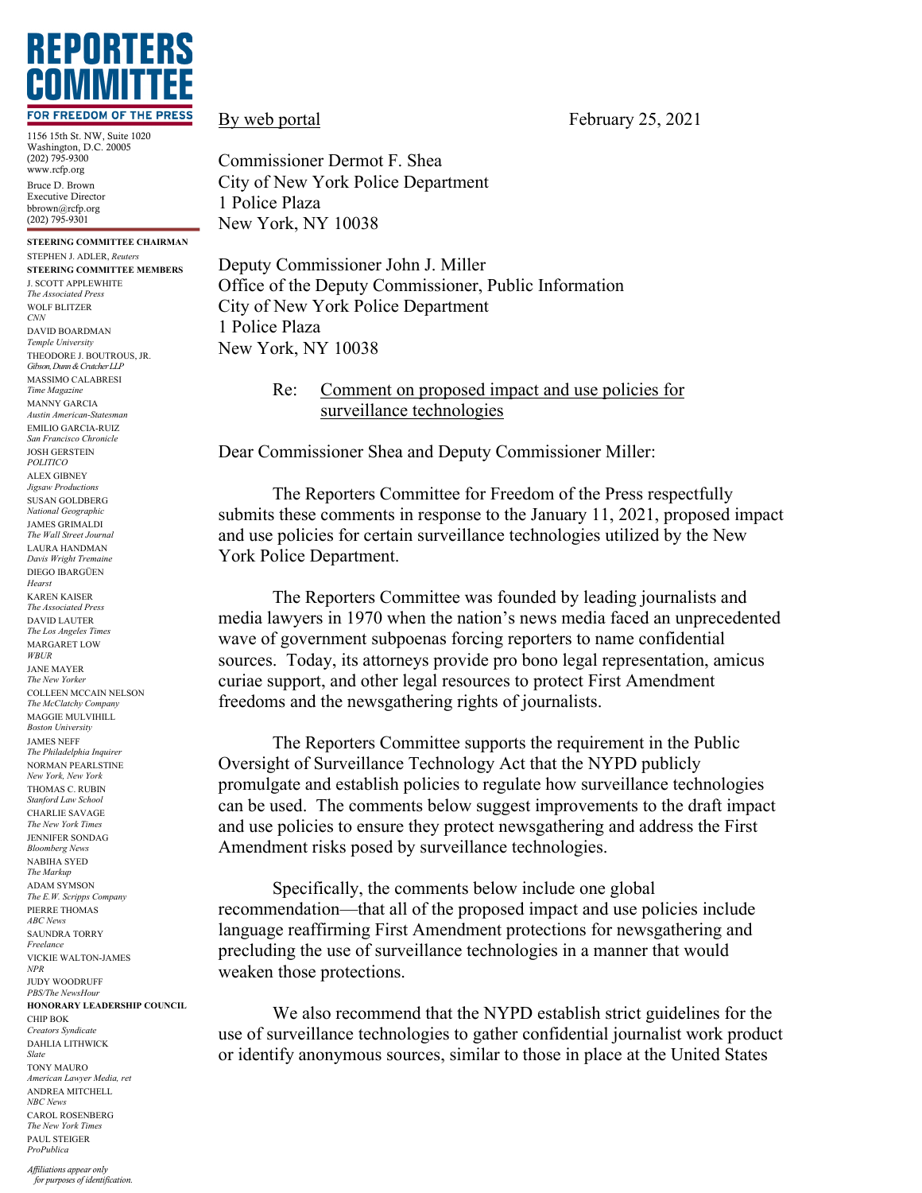

1156 15th St. NW, Suite 1020 Washington, D.C. 20005 (202) 795-9300 www.rcfp.org Bruce D. Brown Executive Director bbrown@rcfp.org (202) 795-9301

**STEERING COMMITTEE CHAIRMAN** STEPHEN J. ADLER, *Reuters* **STEERING COMMITTEE MEMBERS** J. SCOTT APPLEWHITE *The Associated Press* WOLF BLITZER *CNN* DAVID BOARDMAN *Temple University* THEODORE J. BOUTROUS, JR. *Gibson, Dunn & Crutcher LLP* MASSIMO CALABRESI *Time Magazine* MANNY GARCIA *Austin American-Statesman* EMILIO GARCIA-RUIZ *San Francisco Chronicle* JOSH GERSTEIN *POLITICO* ALEX GIBNEY *Jigsaw Productions* SUSAN GOLDBERG *National Geographic* JAMES GRIMALDI *The Wall Street Journal* LAURA HANDMAN *Davis Wright Tremaine* DIEGO IBARGÜEN *Hearst* KAREN KAISER *The Associated Press* DAVID LAUTER *The Los Angeles Times* MARGARET LOW *WBUR* JANE MAYER *The New Yorker* COLLEEN MCCAIN NELSON *The McClatchy Company* MAGGIE MULVIHILL *Boston University* JAMES NEFF *The Philadelphia Inquirer* NORMAN PEARLSTINE *New York, New York* THOMAS C. RUBIN *Stanford Law School* CHARLIE SAVAGE *The New York Times* JENNIFER SONDAG *Bloomberg News* NABIHA SYED *The Markup* ADAM SYMSON *The E.W. Scripps Company* PIERRE THOMAS *ABC News* SAUNDRA TORRY *Freelance* VICKIE WALTON-JAMES *NPR* JUDY WOODRUFF *PBS/The NewsHour* **HONORARY LEADERSHIP COUNCIL** CHIP BOK *Creators Syndicate* DAHLIA LITHWICK *Slate* TONY MAURO *American Lawyer Media, ret* ANDREA MITCHELL *NBC News* CAROL ROSENBERG *The New York Times* PAUL STEIGER *ProPublica*

Commissioner Dermot F. Shea City of New York Police Department 1 Police Plaza New York, NY 10038

Deputy Commissioner John J. Miller Office of the Deputy Commissioner, Public Information City of New York Police Department 1 Police Plaza New York, NY 10038

> Re: Comment on proposed impact and use policies for surveillance technologies

Dear Commissioner Shea and Deputy Commissioner Miller:

The Reporters Committee for Freedom of the Press respectfully submits these comments in response to the January 11, 2021, proposed impact and use policies for certain surveillance technologies utilized by the New York Police Department.

The Reporters Committee was founded by leading journalists and media lawyers in 1970 when the nation's news media faced an unprecedented wave of government subpoenas forcing reporters to name confidential sources. Today, its attorneys provide pro bono legal representation, amicus curiae support, and other legal resources to protect First Amendment freedoms and the newsgathering rights of journalists.

The Reporters Committee supports the requirement in the Public Oversight of Surveillance Technology Act that the NYPD publicly promulgate and establish policies to regulate how surveillance technologies can be used. The comments below suggest improvements to the draft impact and use policies to ensure they protect newsgathering and address the First Amendment risks posed by surveillance technologies.

Specifically, the comments below include one global recommendation—that all of the proposed impact and use policies include language reaffirming First Amendment protections for newsgathering and precluding the use of surveillance technologies in a manner that would weaken those protections.

We also recommend that the NYPD establish strict guidelines for the use of surveillance technologies to gather confidential journalist work product or identify anonymous sources, similar to those in place at the United States

By web portal February 25, 2021

*Affiliations appear only for purposes of identification.*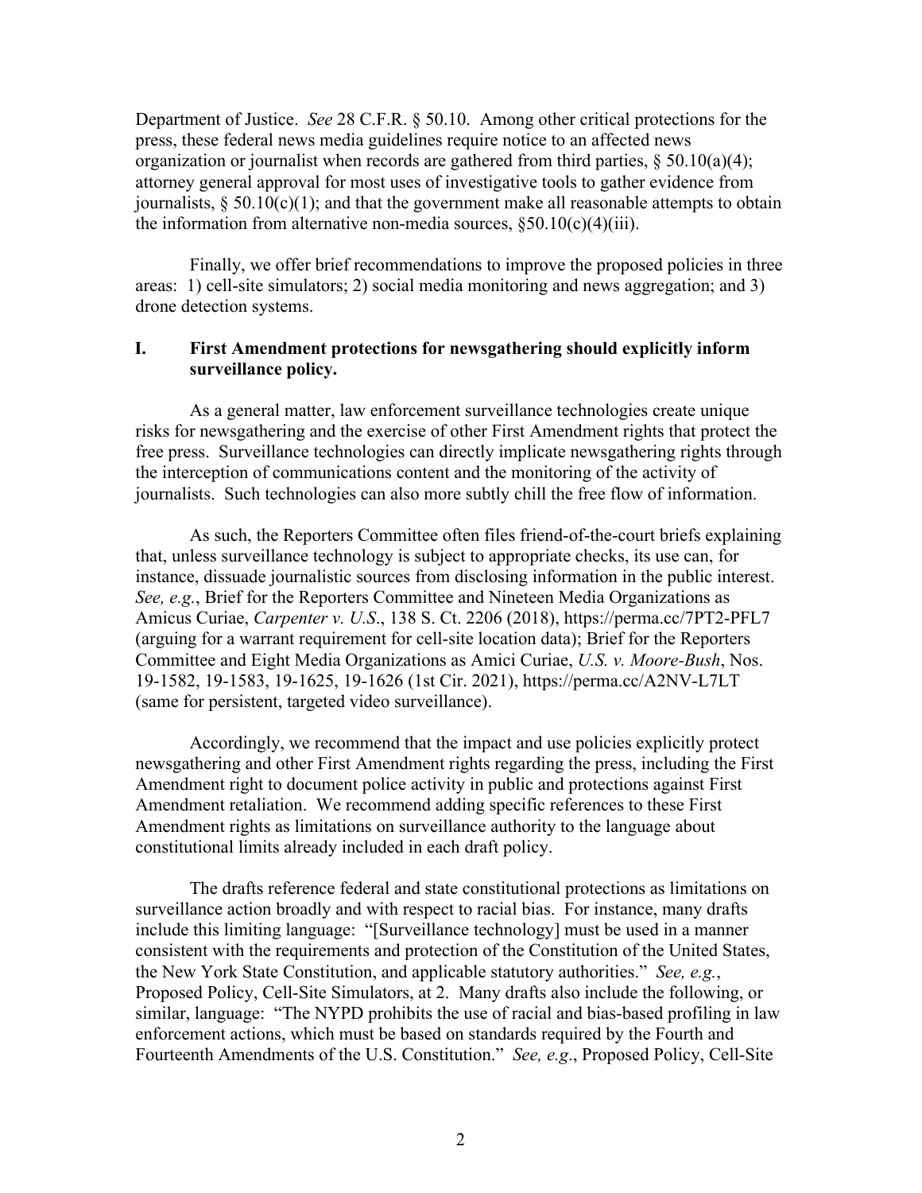Department of Justice. *See* 28 C.F.R. § 50.10. Among other critical protections for the press, these federal news media guidelines require notice to an affected news organization or journalist when records are gathered from third parties,  $\S 50.10(a)(4)$ ; attorney general approval for most uses of investigative tools to gather evidence from journalists,  $\S 50.10(c)(1)$ ; and that the government make all reasonable attempts to obtain the information from alternative non-media sources,  $\S 50.10(c)(4)(iii)$ .

Finally, we offer brief recommendations to improve the proposed policies in three areas: 1) cell-site simulators; 2) social media monitoring and news aggregation; and 3) drone detection systems.

# **I. First Amendment protections for newsgathering should explicitly inform surveillance policy.**

As a general matter, law enforcement surveillance technologies create unique risks for newsgathering and the exercise of other First Amendment rights that protect the free press. Surveillance technologies can directly implicate newsgathering rights through the interception of communications content and the monitoring of the activity of journalists.Such technologies can also more subtly chill the free flow of information.

As such, the Reporters Committee often files friend-of-the-court briefs explaining that, unless surveillance technology is subject to appropriate checks, its use can, for instance, dissuade journalistic sources from disclosing information in the public interest. *See, e.g.*, Brief for the Reporters Committee and Nineteen Media Organizations as Amicus Curiae, *Carpenter v. U.S*., 138 S. Ct. 2206 (2018), https://perma.cc/7PT2-PFL7 (arguing for a warrant requirement for cell-site location data); Brief for the Reporters Committee and Eight Media Organizations as Amici Curiae, *U.S. v. Moore-Bush*, Nos. 19-1582, 19-1583, 19-1625, 19-1626 (1st Cir. 2021), https://perma.cc/A2NV-L7LT (same for persistent, targeted video surveillance).

Accordingly, we recommend that the impact and use policies explicitly protect newsgathering and other First Amendment rights regarding the press, including the First Amendment right to document police activity in public and protections against First Amendment retaliation. We recommend adding specific references to these First Amendment rights as limitations on surveillance authority to the language about constitutional limits already included in each draft policy.

The drafts reference federal and state constitutional protections as limitations on surveillance action broadly and with respect to racial bias. For instance, many drafts include this limiting language: "[Surveillance technology] must be used in a manner consistent with the requirements and protection of the Constitution of the United States, the New York State Constitution, and applicable statutory authorities." *See, e.g.*, Proposed Policy, Cell-Site Simulators, at 2. Many drafts also include the following, or similar, language: "The NYPD prohibits the use of racial and bias-based profiling in law enforcement actions, which must be based on standards required by the Fourth and Fourteenth Amendments of the U.S. Constitution." *See, e.g*., Proposed Policy, Cell-Site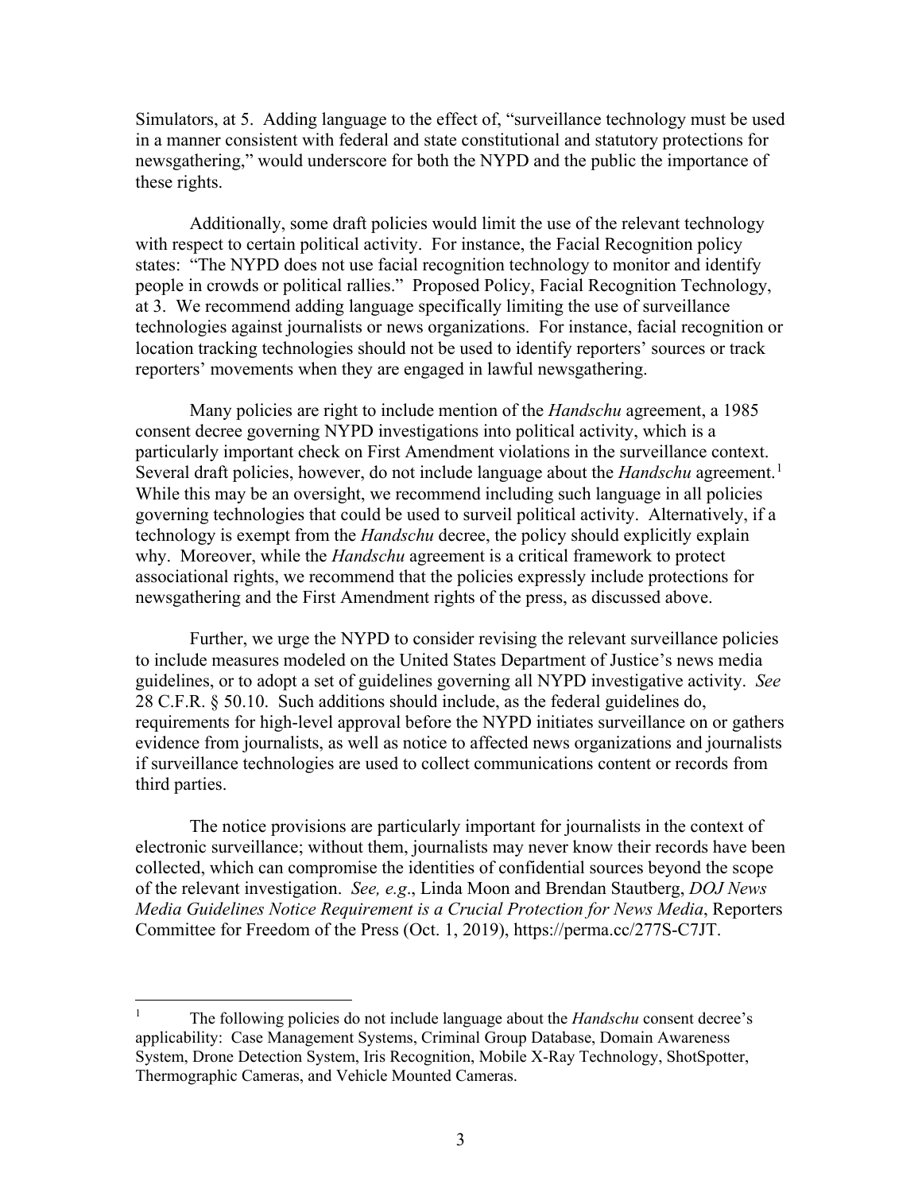Simulators, at 5. Adding language to the effect of, "surveillance technology must be used in a manner consistent with federal and state constitutional and statutory protections for newsgathering," would underscore for both the NYPD and the public the importance of these rights.

Additionally, some draft policies would limit the use of the relevant technology with respect to certain political activity. For instance, the Facial Recognition policy states: "The NYPD does not use facial recognition technology to monitor and identify people in crowds or political rallies." Proposed Policy, Facial Recognition Technology, at 3. We recommend adding language specifically limiting the use of surveillance technologies against journalists or news organizations. For instance, facial recognition or location tracking technologies should not be used to identify reporters' sources or track reporters' movements when they are engaged in lawful newsgathering.

Many policies are right to include mention of the *Handschu* agreement, a 1985 consent decree governing NYPD investigations into political activity, which is a particularly important check on First Amendment violations in the surveillance context. Several draft policies, however, do not include language about the *Handschu* agreement. [1](#page-2-0) While this may be an oversight, we recommend including such language in all policies governing technologies that could be used to surveil political activity. Alternatively, if a technology is exempt from the *Handschu* decree, the policy should explicitly explain why. Moreover, while the *Handschu* agreement is a critical framework to protect associational rights, we recommend that the policies expressly include protections for newsgathering and the First Amendment rights of the press, as discussed above.

Further, we urge the NYPD to consider revising the relevant surveillance policies to include measures modeled on the United States Department of Justice's news media guidelines, or to adopt a set of guidelines governing all NYPD investigative activity. *See*  28 C.F.R. § 50.10. Such additions should include, as the federal guidelines do, requirements for high-level approval before the NYPD initiates surveillance on or gathers evidence from journalists, as well as notice to affected news organizations and journalists if surveillance technologies are used to collect communications content or records from third parties.

The notice provisions are particularly important for journalists in the context of electronic surveillance; without them, journalists may never know their records have been collected, which can compromise the identities of confidential sources beyond the scope of the relevant investigation. *See, e.g*., Linda Moon and Brendan Stautberg, *DOJ News Media Guidelines Notice Requirement is a Crucial Protection for News Media*, Reporters Committee for Freedom of the Press (Oct. 1, 2019), https://perma.cc/277S-C7JT.

<span id="page-2-0"></span><sup>&</sup>lt;sup>1</sup> The following policies do not include language about the *Handschu* consent decree's applicability: Case Management Systems, Criminal Group Database, Domain Awareness System, Drone Detection System, Iris Recognition, Mobile X-Ray Technology, ShotSpotter, Thermographic Cameras, and Vehicle Mounted Cameras.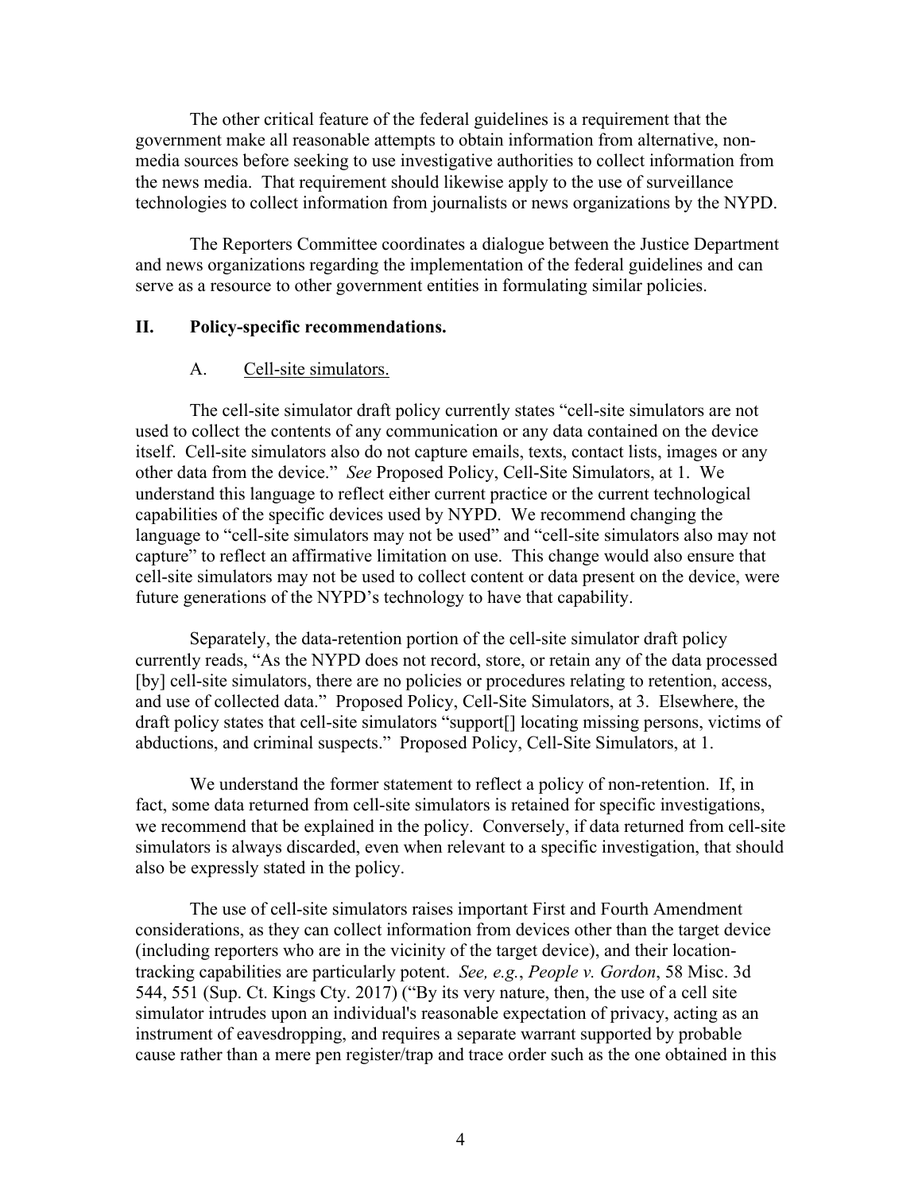The other critical feature of the federal guidelines is a requirement that the government make all reasonable attempts to obtain information from alternative, nonmedia sources before seeking to use investigative authorities to collect information from the news media. That requirement should likewise apply to the use of surveillance technologies to collect information from journalists or news organizations by the NYPD.

The Reporters Committee coordinates a dialogue between the Justice Department and news organizations regarding the implementation of the federal guidelines and can serve as a resource to other government entities in formulating similar policies.

#### **II. Policy-specific recommendations.**

#### A. Cell-site simulators.

The cell-site simulator draft policy currently states "cell-site simulators are not used to collect the contents of any communication or any data contained on the device itself. Cell-site simulators also do not capture emails, texts, contact lists, images or any other data from the device." *See* Proposed Policy, Cell-Site Simulators, at 1. We understand this language to reflect either current practice or the current technological capabilities of the specific devices used by NYPD. We recommend changing the language to "cell-site simulators may not be used" and "cell-site simulators also may not capture" to reflect an affirmative limitation on use. This change would also ensure that cell-site simulators may not be used to collect content or data present on the device, were future generations of the NYPD's technology to have that capability.

Separately, the data-retention portion of the cell-site simulator draft policy currently reads, "As the NYPD does not record, store, or retain any of the data processed [by] cell-site simulators, there are no policies or procedures relating to retention, access, and use of collected data." Proposed Policy, Cell-Site Simulators, at 3. Elsewhere, the draft policy states that cell-site simulators "support[] locating missing persons, victims of abductions, and criminal suspects." Proposed Policy, Cell-Site Simulators, at 1.

We understand the former statement to reflect a policy of non-retention. If, in fact, some data returned from cell-site simulators is retained for specific investigations, we recommend that be explained in the policy. Conversely, if data returned from cell-site simulators is always discarded, even when relevant to a specific investigation, that should also be expressly stated in the policy.

The use of cell-site simulators raises important First and Fourth Amendment considerations, as they can collect information from devices other than the target device (including reporters who are in the vicinity of the target device), and their locationtracking capabilities are particularly potent. *See, e.g.*, *People v. Gordon*, 58 Misc. 3d 544, 551 (Sup. Ct. Kings Cty. 2017) ("By its very nature, then, the use of a cell site simulator intrudes upon an individual's reasonable expectation of privacy, acting as an instrument of eavesdropping, and requires a separate warrant supported by probable cause rather than a mere pen register/trap and trace order such as the one obtained in this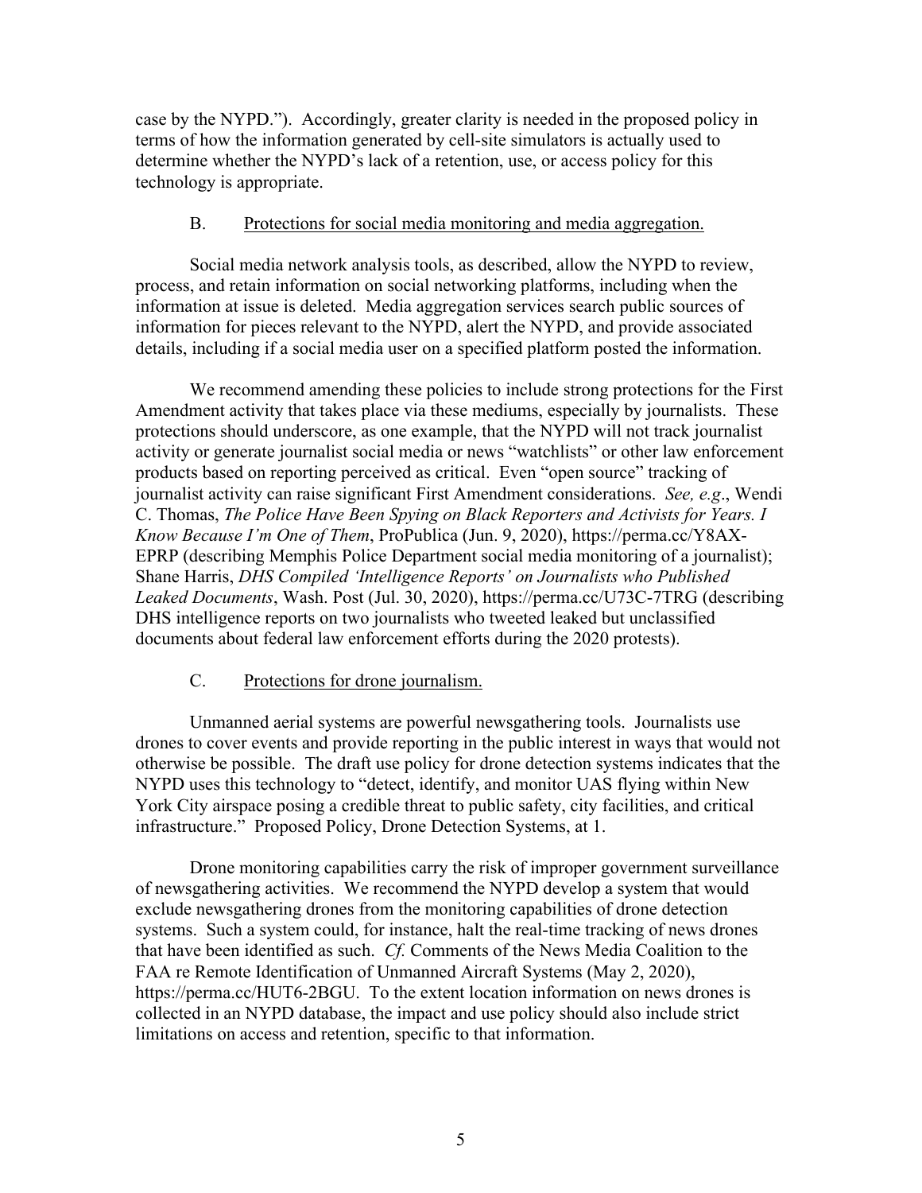case by the NYPD."). Accordingly, greater clarity is needed in the proposed policy in terms of how the information generated by cell-site simulators is actually used to determine whether the NYPD's lack of a retention, use, or access policy for this technology is appropriate.

### B. Protections for social media monitoring and media aggregation.

Social media network analysis tools, as described, allow the NYPD to review, process, and retain information on social networking platforms, including when the information at issue is deleted. Media aggregation services search public sources of information for pieces relevant to the NYPD, alert the NYPD, and provide associated details, including if a social media user on a specified platform posted the information.

We recommend amending these policies to include strong protections for the First Amendment activity that takes place via these mediums, especially by journalists. These protections should underscore, as one example, that the NYPD will not track journalist activity or generate journalist social media or news "watchlists" or other law enforcement products based on reporting perceived as critical. Even "open source" tracking of journalist activity can raise significant First Amendment considerations. *See, e.g*., Wendi C. Thomas, *The Police Have Been Spying on Black Reporters and Activists for Years. I Know Because I'm One of Them*, ProPublica (Jun. 9, 2020), https://perma.cc/Y8AX-EPRP (describing Memphis Police Department social media monitoring of a journalist); Shane Harris, *DHS Compiled 'Intelligence Reports' on Journalists who Published Leaked Documents*, Wash. Post (Jul. 30, 2020), https://perma.cc/U73C-7TRG (describing DHS intelligence reports on two journalists who tweeted leaked but unclassified documents about federal law enforcement efforts during the 2020 protests).

## C. Protections for drone journalism.

Unmanned aerial systems are powerful newsgathering tools. Journalists use drones to cover events and provide reporting in the public interest in ways that would not otherwise be possible. The draft use policy for drone detection systems indicates that the NYPD uses this technology to "detect, identify, and monitor UAS flying within New York City airspace posing a credible threat to public safety, city facilities, and critical infrastructure." Proposed Policy, Drone Detection Systems, at 1.

Drone monitoring capabilities carry the risk of improper government surveillance of newsgathering activities. We recommend the NYPD develop a system that would exclude newsgathering drones from the monitoring capabilities of drone detection systems. Such a system could, for instance, halt the real-time tracking of news drones that have been identified as such. *Cf.* Comments of the News Media Coalition to the FAA re Remote Identification of Unmanned Aircraft Systems (May 2, 2020), https://perma.cc/HUT6-2BGU. To the extent location information on news drones is collected in an NYPD database, the impact and use policy should also include strict limitations on access and retention, specific to that information.